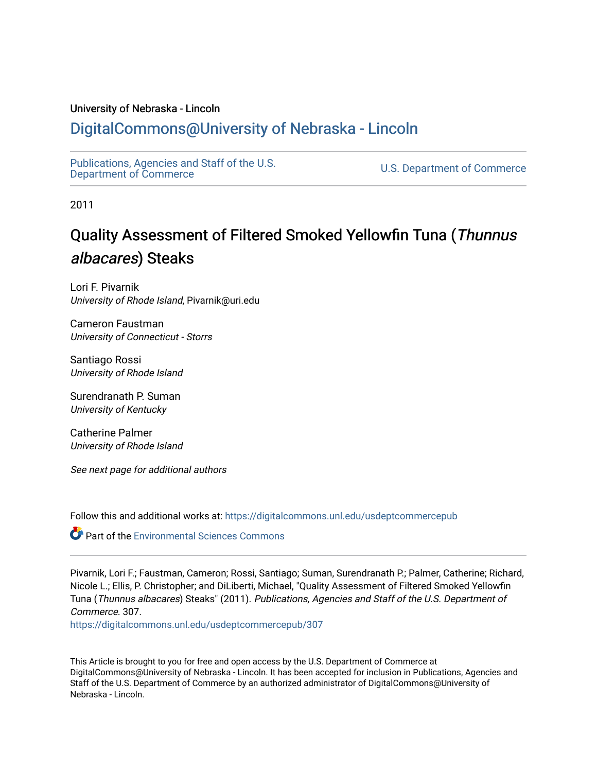#### University of Nebraska - Lincoln

### [DigitalCommons@University of Nebraska - Lincoln](https://digitalcommons.unl.edu/)

[Publications, Agencies and Staff of the U.S.](https://digitalcommons.unl.edu/usdeptcommercepub)

U.S. [Department of Commerce](https://digitalcommons.unl.edu/usdeptcommercepub)

2011

## Quality Assessment of Filtered Smoked Yellowfin Tuna (Thunnus albacares) Steaks

Lori F. Pivarnik University of Rhode Island, Pivarnik@uri.edu

Cameron Faustman University of Connecticut - Storrs

Santiago Rossi University of Rhode Island

Surendranath P. Suman University of Kentucky

Catherine Palmer University of Rhode Island

See next page for additional authors

Follow this and additional works at: [https://digitalcommons.unl.edu/usdeptcommercepub](https://digitalcommons.unl.edu/usdeptcommercepub?utm_source=digitalcommons.unl.edu%2Fusdeptcommercepub%2F307&utm_medium=PDF&utm_campaign=PDFCoverPages)

Part of the [Environmental Sciences Commons](http://network.bepress.com/hgg/discipline/167?utm_source=digitalcommons.unl.edu%2Fusdeptcommercepub%2F307&utm_medium=PDF&utm_campaign=PDFCoverPages)

Pivarnik, Lori F.; Faustman, Cameron; Rossi, Santiago; Suman, Surendranath P.; Palmer, Catherine; Richard, Nicole L.; Ellis, P. Christopher; and DiLiberti, Michael, "Quality Assessment of Filtered Smoked Yellowfin Tuna (Thunnus albacares) Steaks" (2011). Publications, Agencies and Staff of the U.S. Department of Commerce. 307.

[https://digitalcommons.unl.edu/usdeptcommercepub/307](https://digitalcommons.unl.edu/usdeptcommercepub/307?utm_source=digitalcommons.unl.edu%2Fusdeptcommercepub%2F307&utm_medium=PDF&utm_campaign=PDFCoverPages) 

This Article is brought to you for free and open access by the U.S. Department of Commerce at DigitalCommons@University of Nebraska - Lincoln. It has been accepted for inclusion in Publications, Agencies and Staff of the U.S. Department of Commerce by an authorized administrator of DigitalCommons@University of Nebraska - Lincoln.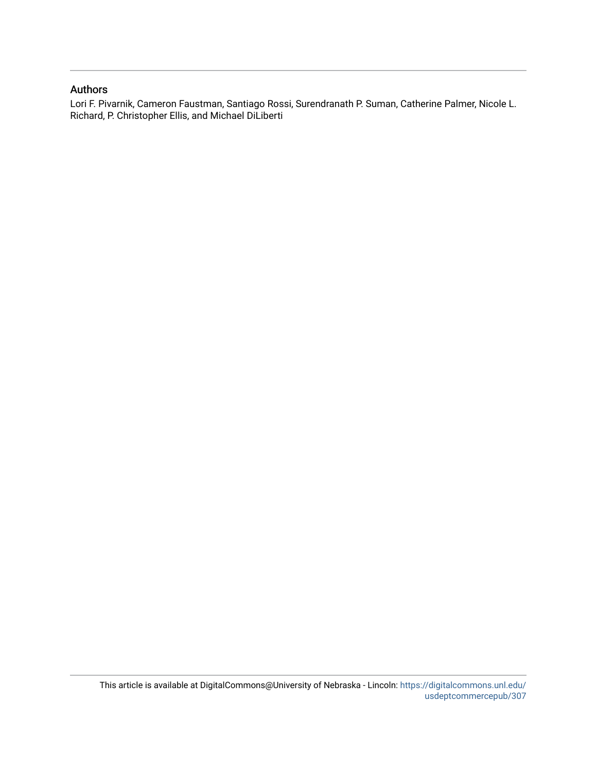#### Authors

Lori F. Pivarnik, Cameron Faustman, Santiago Rossi, Surendranath P. Suman, Catherine Palmer, Nicole L. Richard, P. Christopher Ellis, and Michael DiLiberti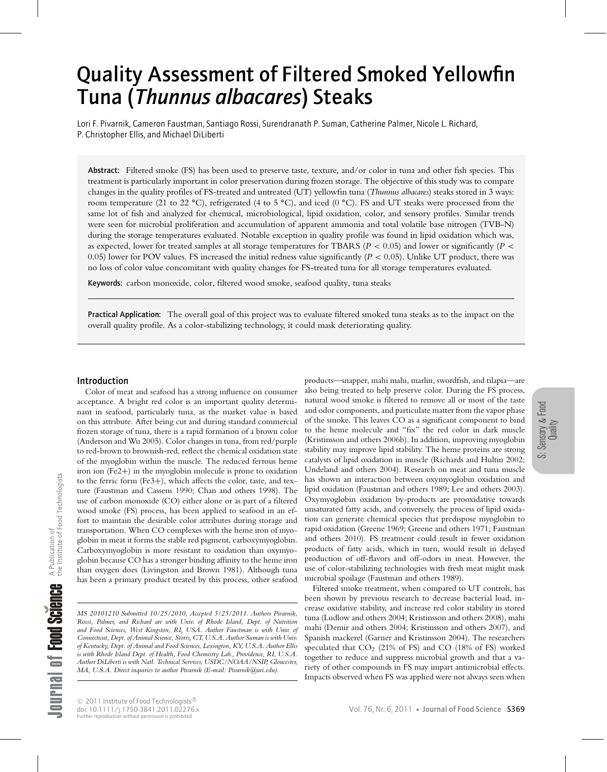# Quality Assessment of Filtered Smoked Yellowfin Tuna (*Thunnus albacares*) Steaks

Lori F. Pivarnik, Cameron Faustman, Santiago Rossi, Surendranath P. Suman, Catherine Palmer, Nicole L. Richard, P. Christopher Ellis, and Michael DiLiberti

Abstract: Filtered smoke (FS) has been used to preserve taste, texture, and/or color in tuna and other fish species. This treatment is particularly important in color preservation during frozen storage. The objective of this study was to compare changes in the quality profiles of FS-treated and untreated (UT) yellowfin tuna (*Thunnus albacares*) steaks stored in 3 ways: room temperature (21 to 22 **◦**C), refrigerated (4 to 5 **◦**C), and iced (0 **◦**C). FS and UT steaks were processed from the same lot of fish and analyzed for chemical, microbiological, lipid oxidation, color, and sensory profiles. Similar trends were seen for microbial proliferation and accumulation of apparent ammonia and total volatile base nitrogen (TVB-N) during the storage temperatures evaluated. Notable exception in quality profile was found in lipid oxidation which was, as expected, lower for treated samples at all storage temperatures for TBARS ( $P < 0.05$ ) and lower or significantly ( $P <$ 0.05) lower for POV values. FS increased the initial redness value significantly ( $P < 0.05$ ). Unlike UT product, there was no loss of color value concomitant with quality changes for FS-treated tuna for all storage temperatures evaluated.

Keywords: carbon monoxide, color, filtered wood smoke, seafood quality, tuna steaks

Practical Application: The overall goal of this project was to evaluate filtered smoked tuna steaks as to the impact on the overall quality profile. As a color-stabilizing technology, it could mask deteriorating quality.

#### Introduction

Color of meat and seafood has a strong influence on consumer acceptance. A bright red color is an important quality determinant in seafood, particularly tuna, as the market value is based on this attribute. After being cut and during standard commercial frozen storage of tuna, there is a rapid formation of a brown color (Anderson and Wu 2005). Color changes in tuna, from red/purple to red-brown to brownish-red, reflect the chemical oxidation state of the myoglobin within the muscle. The reduced ferrous heme iron ion (Fe2+) in the myoglobin molecule is prone to oxidation to the ferric form (Fe3+), which affects the color, taste, and texture (Faustman and Cassens 1990; Chan and others 1998). The use of carbon monoxide (CO) either alone or as part of a filtered wood smoke (FS) process, has been applied to seafood in an effort to maintain the desirable color attributes during storage and transportation. When CO complexes with the heme iron of myoglobin in meat it forms the stable red pigment, carboxymyoglobin. Carboxymyoglobin is more resistant to oxidation than oxymyoglobin because CO has a stronger binding affinity to the heme iron than oxygen does (Livingston and Brown 1981). Although tuna has been a primary product treated by this process, other seafood

*MS 20101210 Submitted 10/25/2010, Accepted 5/25/2011. Authors Pivarnik, Rossi, Palmer, and Richard are with Univ. of Rhode Island, Dept. of Nutrition and Food Sciences, West Kingston, RI, USA. Author Faustman is with Univ. of Connecticut, Dept. of Animal Science, Storrs, CT, U.S.A. Author Suman is with Univ. of Kentucky, Dept. of Animal and Food Sciences, Lexington, KY, U.S.A. Author Ellis is with Rhode Island Dept. of Health, Food Chemistry Lab., Providence, RI, U.S.A. Author DiLiberti is with Natl. Technical Services, USDC/NOAA/NSIP, Gloucester, MA, U.S.A. Direct inquiries to author Pivarnik (E-mail: Pivarnik@uri.edu).*

products—snapper, mahi mahi, marlin, swordfish, and tilapia—are also being treated to help preserve color. During the FS process, natural wood smoke is filtered to remove all or most of the taste and odor components, and particulate matter from the vapor phase of the smoke. This leaves CO as a significant component to bind to the heme molecule and "fix" the red color in dark muscle (Kristinsson and others 2006b). In addition, improving myoglobin stability may improve lipid stability. The heme proteins are strong catalysts of lipid oxidation in muscle (Richards and Hultin 2002; Undeland and others 2004). Research on meat and tuna muscle has shown an interaction between oxymyoglobin oxidation and lipid oxidation (Faustman and others 1989; Lee and others 2003). Oxymyoglobin oxidation by-products are prooxidative towards unsaturated fatty acids, and conversely, the process of lipid oxidation can generate chemical species that predispose myoglobin to rapid oxidation (Greene 1969; Greene and others 1971; Faustman and others 2010). FS treatment could result in fewer oxidation products of fatty acids, which in turn, would result in delayed production of off-flavors and off-odors in meat. However, the use of color-stabilizing technologies with fresh meat might mask microbial spoilage (Faustman and others 1989).

Filtered smoke treatment, when compared to UT controls, has been shown by previous research to decrease bacterial load, increase oxidative stability, and increase red color stability in stored tuna (Ludlow and others 2004; Kristinsson and others 2008), mahi mahi (Demir and others 2004; Kristinsson and others 2007), and Spanish mackerel (Garner and Kristinsson 2004). The researchers speculated that  $CO<sub>2</sub>$  (21% of FS) and  $CO$  (18% of FS) worked together to reduce and suppress microbial growth and that a variety of other compounds in FS may impart antimicrobial effects. Impacts observed when FS was applied were not always seen when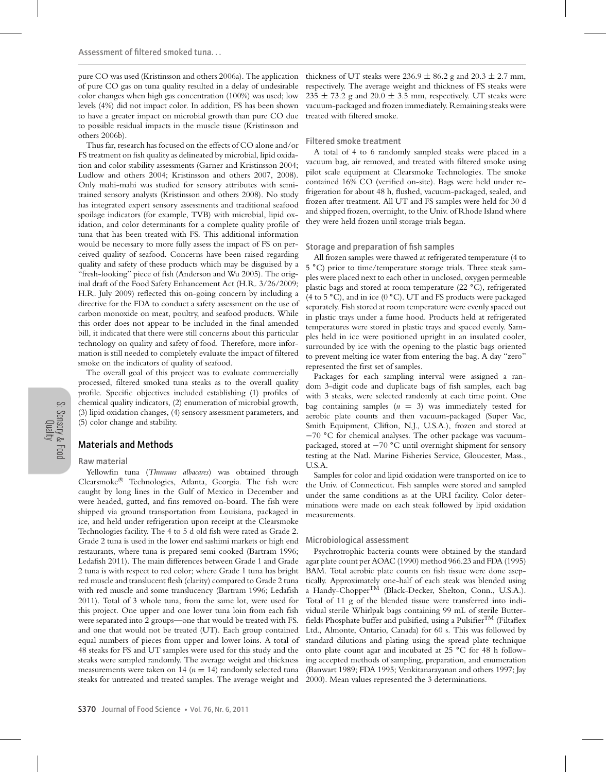pure CO was used (Kristinsson and others 2006a). The application of pure CO gas on tuna quality resulted in a delay of undesirable color changes when high gas concentration (100%) was used; low levels (4%) did not impact color. In addition, FS has been shown to have a greater impact on microbial growth than pure CO due to possible residual impacts in the muscle tissue (Kristinsson and others 2006b).

Thus far, research has focused on the effects of CO alone and/or FS treatment on fish quality as delineated by microbial, lipid oxidation and color stability assessments (Garner and Kristinsson 2004; Ludlow and others 2004; Kristinsson and others 2007, 2008). Only mahi-mahi was studied for sensory attributes with semitrained sensory analysts (Kristinsson and others 2008). No study has integrated expert sensory assessments and traditional seafood spoilage indicators (for example, TVB) with microbial, lipid oxidation, and color determinants for a complete quality profile of tuna that has been treated with FS. This additional information would be necessary to more fully assess the impact of FS on perceived quality of seafood. Concerns have been raised regarding quality and safety of these products which may be disguised by a "fresh-looking" piece of fish (Anderson and Wu 2005). The original draft of the Food Safety Enhancement Act (H.R. 3/26/2009; H.R. July 2009) reflected this on-going concern by including a directive for the FDA to conduct a safety assessment on the use of carbon monoxide on meat, poultry, and seafood products. While this order does not appear to be included in the final amended bill, it indicated that there were still concerns about this particular technology on quality and safety of food. Therefore, more information is still needed to completely evaluate the impact of filtered smoke on the indicators of quality of seafood.

The overall goal of this project was to evaluate commercially processed, filtered smoked tuna steaks as to the overall quality profile. Specific objectives included establishing (1) profiles of chemical quality indicators, (2) enumeration of microbial growth, (3) lipid oxidation changes, (4) sensory assessment parameters, and (5) color change and stability.

#### Materials and Methods

#### Raw material

Yellowfin tuna (*Thunnus albacares*) was obtained through Clearsmoke® Technologies, Atlanta, Georgia. The fish were caught by long lines in the Gulf of Mexico in December and were headed, gutted, and fins removed on-board. The fish were shipped via ground transportation from Louisiana, packaged in ice, and held under refrigeration upon receipt at the Clearsmoke Technologies facility. The 4 to 5 d old fish were rated as Grade 2. Grade 2 tuna is used in the lower end sashimi markets or high end restaurants, where tuna is prepared semi cooked (Bartram 1996; Ledafish 2011). The main differences between Grade 1 and Grade 2 tuna is with respect to red color; where Grade 1 tuna has bright red muscle and translucent flesh (clarity) compared to Grade 2 tuna with red muscle and some translucency (Bartram 1996; Ledafish 2011). Total of 3 whole tuna, from the same lot, were used for this project. One upper and one lower tuna loin from each fish were separated into 2 groups—one that would be treated with FS. and one that would not be treated (UT). Each group contained equal numbers of pieces from upper and lower loins. A total of 48 steaks for FS and UT samples were used for this study and the steaks were sampled randomly. The average weight and thickness measurements were taken on 14 ( $n = 14$ ) randomly selected tuna steaks for untreated and treated samples. The average weight and

thickness of UT steaks were  $236.9 \pm 86.2$  g and  $20.3 \pm 2.7$  mm, respectively. The average weight and thickness of FS steaks were  $235 \pm 73.2$  g and  $20.0 \pm 3.5$  mm, respectively. UT steaks were vacuum-packaged and frozen immediately. Remaining steaks were treated with filtered smoke.

#### Filtered smoke treatment

A total of 4 to 6 randomly sampled steaks were placed in a vacuum bag, air removed, and treated with filtered smoke using pilot scale equipment at Clearsmoke Technologies. The smoke contained 16% CO (verified on-site). Bags were held under refrigeration for about 48 h, flushed, vacuum-packaged, sealed, and frozen after treatment. All UT and FS samples were held for 30 d and shipped frozen, overnight, to the Univ. of Rhode Island where they were held frozen until storage trials began.

#### Storage and preparation of fish samples

All frozen samples were thawed at refrigerated temperature (4 to 5 **◦**C) prior to time/temperature storage trials. Three steak samples were placed next to each other in unclosed, oxygen permeable plastic bags and stored at room temperature (22 **◦**C), refrigerated (4 to 5 **◦**C), and in ice (0 **◦**C). UT and FS products were packaged separately. Fish stored at room temperature were evenly spaced out in plastic trays under a fume hood. Products held at refrigerated temperatures were stored in plastic trays and spaced evenly. Samples held in ice were positioned upright in an insulated cooler, surrounded by ice with the opening to the plastic bags oriented to prevent melting ice water from entering the bag. A day "zero" represented the first set of samples.

Packages for each sampling interval were assigned a random 3-digit code and duplicate bags of fish samples, each bag with 3 steaks, were selected randomly at each time point. One bag containing samples  $(n = 3)$  was immediately tested for aerobic plate counts and then vacuum-packaged (Super Vac, Smith Equipment, Clifton, N.J., U.S.A.), frozen and stored at −70 **◦**C for chemical analyses. The other package was vacuumpackaged, stored at −70 **◦**C until overnight shipment for sensory testing at the Natl. Marine Fisheries Service, Gloucester, Mass., U.S.A.

Samples for color and lipid oxidation were transported on ice to the Univ. of Connecticut. Fish samples were stored and sampled under the same conditions as at the URI facility. Color determinations were made on each steak followed by lipid oxidation measurements.

#### Microbiological assessment

Psychrotrophic bacteria counts were obtained by the standard agar plate count per AOAC (1990) method 966.23 and FDA (1995) BAM. Total aerobic plate counts on fish tissue were done aseptically. Approximately one-half of each steak was blended using a Handy-Chopper<sup>TM</sup> (Black-Decker, Shelton, Conn., U.S.A.). Total of 11 g of the blended tissue were transferred into individual sterile Whirlpak bags containing 99 mL of sterile Butterfields Phosphate buffer and pulsified, using a Pulsifier<sup>TM</sup> (Filtaflex Ltd., Almonte, Ontario, Canada) for 60 s. This was followed by standard dilutions and plating using the spread plate technique onto plate count agar and incubated at 25 **◦**C for 48 h following accepted methods of sampling, preparation, and enumeration (Banwart 1989; FDA 1995; Venkitanarayanan and others 1997; Jay 2000). Mean values represented the 3 determinations.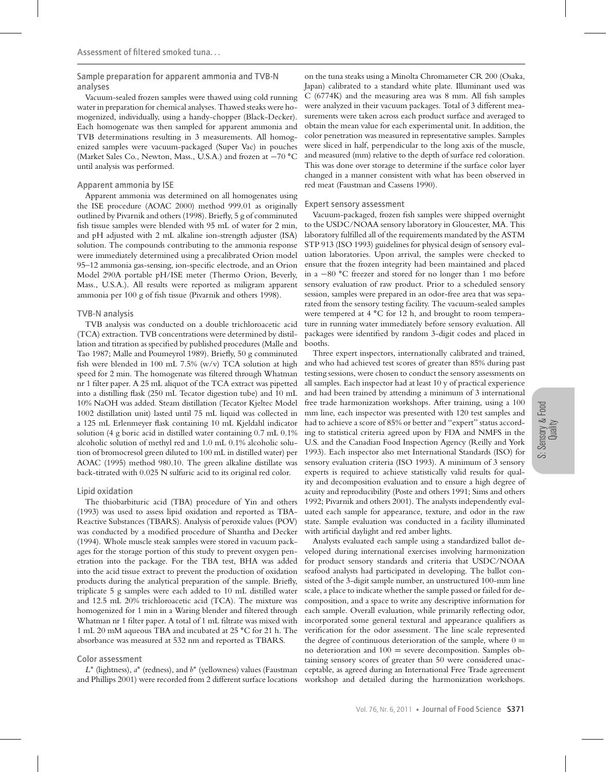Sample preparation for apparent ammonia and TVB-N analyses

Vacuum-sealed frozen samples were thawed using cold running water in preparation for chemical analyses. Thawed steaks were homogenized, individually, using a handy-chopper (Black-Decker). Each homogenate was then sampled for apparent ammonia and TVB determinations resulting in 3 measurements. All homogenized samples were vacuum-packaged (Super Vac) in pouches (Market Sales Co., Newton, Mass., U.S.A.) and frozen at −70 **◦**C until analysis was performed.

#### Apparent ammonia by ISE

Apparent ammonia was determined on all homogenates using the ISE procedure (AOAC 2000) method 999.01 as originally outlined by Pivarnik and others (1998). Briefly, 5 g of comminuted fish tissue samples were blended with 95 mL of water for 2 min, and pH adjusted with 2 mL alkaline ion-strength adjuster (ISA) solution. The compounds contributing to the ammonia response were immediately determined using a precalibrated Orion model 95–12 ammonia gas-sensing, ion-specific electrode, and an Orion Model 290A portable pH/ISE meter (Thermo Orion, Beverly, Mass., U.S.A.). All results were reported as miligram apparent ammonia per 100 g of fish tissue (Pivarnik and others 1998).

#### TVB-N analysis

TVB analysis was conducted on a double trichloroacetic acid (TCA) extraction. TVB concentrations were determined by distillation and titration as specified by published procedures (Malle and Tao 1987; Malle and Poumeyrol 1989). Briefly, 50 g comminuted fish were blended in 100 mL 7.5% (w/v) TCA solution at high speed for 2 min. The homogenate was filtered through Whatman nr 1 filter paper. A 25 mL aliquot of the TCA extract was pipetted into a distilling flask (250 mL Tecator digestion tube) and 10 mL 10% NaOH was added. Steam distillation (Tecator Kjeltec Model 1002 distillation unit) lasted until 75 mL liquid was collected in a 125 mL Erlenmeyer flask containing 10 mL Kjeldahl indicator solution (4 g boric acid in distilled water containing 0.7 mL 0.1% alcoholic solution of methyl red and 1.0 mL 0.1% alcoholic solution of bromocresol green diluted to 100 mL in distilled water) per AOAC (1995) method 980.10. The green alkaline distillate was back-titrated with 0.025 N sulfuric acid to its original red color.

#### Lipid oxidation

The thiobarbituric acid (TBA) procedure of Yin and others (1993) was used to assess lipid oxidation and reported as TBA-Reactive Substances (TBARS). Analysis of peroxide values (POV) was conducted by a modified procedure of Shantha and Decker (1994). Whole muscle steak samples were stored in vacuum packages for the storage portion of this study to prevent oxygen penetration into the package. For the TBA test, BHA was added into the acid tissue extract to prevent the production of oxidation products during the analytical preparation of the sample. Briefly, triplicate 5 g samples were each added to 10 mL distilled water and 12.5 mL 20% trichloroacetic acid (TCA). The mixture was homogenized for 1 min in a Waring blender and filtered through Whatman nr 1 filter paper. A total of 1 mL filtrate was mixed with 1 mL 20 mM aqueous TBA and incubated at 25 **◦**C for 21 h. The absorbance was measured at 532 nm and reported as TBARS.

#### Color assessment

*L*<sup>∗</sup> (lightness), *a*<sup>∗</sup> (redness), and *b*<sup>∗</sup> (yellowness) values (Faustman and Phillips 2001) were recorded from 2 different surface locations

on the tuna steaks using a Minolta Chromameter CR 200 (Osaka, Japan) calibrated to a standard white plate. Illuminant used was C (6774K) and the measuring area was 8 mm. All fish samples were analyzed in their vacuum packages. Total of 3 different measurements were taken across each product surface and averaged to obtain the mean value for each experimental unit. In addition, the color penetration was measured in representative samples. Samples were sliced in half, perpendicular to the long axis of the muscle, and measured (mm) relative to the depth of surface red coloration. This was done over storage to determine if the surface color layer changed in a manner consistent with what has been observed in red meat (Faustman and Cassens 1990).

#### Expert sensory assessment

Vacuum-packaged, frozen fish samples were shipped overnight to the USDC/NOAA sensory laboratory in Gloucester, MA. This laboratory fulfilled all of the requirements mandated by the ASTM STP 913 (ISO 1993) guidelines for physical design of sensory evaluation laboratories. Upon arrival, the samples were checked to ensure that the frozen integrity had been maintained and placed in a −80 **◦**C freezer and stored for no longer than 1 mo before sensory evaluation of raw product. Prior to a scheduled sensory session, samples were prepared in an odor-free area that was separated from the sensory testing facility. The vacuum-sealed samples were tempered at 4 **◦**C for 12 h, and brought to room temperature in running water immediately before sensory evaluation. All packages were identified by random 3-digit codes and placed in booths.

Three expert inspectors, internationally calibrated and trained, and who had achieved test scores of greater than 85% during past testing sessions, were chosen to conduct the sensory assessments on all samples. Each inspector had at least 10 y of practical experience and had been trained by attending a minimum of 3 international free trade harmonization workshops. After training, using a 100 mm line, each inspector was presented with 120 test samples and had to achieve a score of 85% or better and "expert" status according to statistical criteria agreed upon by FDA and NMFS in the U.S. and the Canadian Food Inspection Agency (Reilly and York 1993). Each inspector also met International Standards (ISO) for sensory evaluation criteria (ISO 1993). A minimum of 3 sensory experts is required to achieve statistically valid results for quality and decomposition evaluation and to ensure a high degree of acuity and reproducibility (Poste and others 1991; Sims and others 1992; Pivarnik and others 2001). The analysts independently evaluated each sample for appearance, texture, and odor in the raw state. Sample evaluation was conducted in a facility illuminated with artificial daylight and red amber lights.

Analysts evaluated each sample using a standardized ballot developed during international exercises involving harmonization for product sensory standards and criteria that USDC/NOAA seafood analysts had participated in developing. The ballot consisted of the 3-digit sample number, an unstructured 100-mm line scale, a place to indicate whether the sample passed or failed for decomposition, and a space to write any descriptive information for each sample. Overall evaluation, while primarily reflecting odor, incorporated some general textural and appearance qualifiers as verification for the odor assessment. The line scale represented the degree of continuous deterioration of the sample, where  $0 =$ no deterioration and  $100 =$  severe decomposition. Samples obtaining sensory scores of greater than 50 were considered unacceptable, as agreed during an International Free Trade agreement workshop and detailed during the harmonization workshops.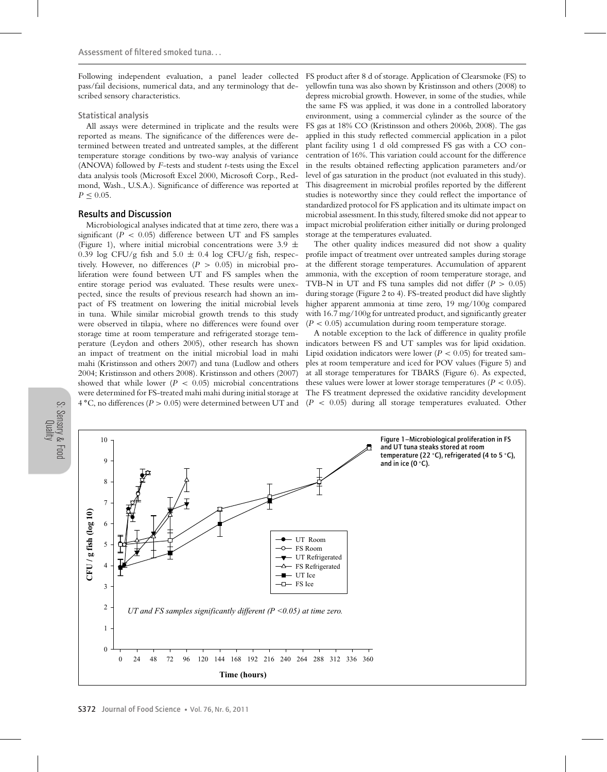Following independent evaluation, a panel leader collected pass/fail decisions, numerical data, and any terminology that described sensory characteristics.

#### Statistical analysis

All assays were determined in triplicate and the results were reported as means. The significance of the differences were determined between treated and untreated samples, at the different temperature storage conditions by two-way analysis of variance (ANOVA) followed by *F*-tests and student *t*-tests using the Excel data analysis tools (Microsoft Excel 2000, Microsoft Corp., Redmond, Wash., U.S.A.). Significance of difference was reported at  $P < 0.05$ .

#### Results and Discussion

Microbiological analyses indicated that at time zero, there was a significant  $(P < 0.05)$  difference between UT and FS samples (Figure 1), where initial microbial concentrations were 3.9  $\pm$ 0.39 log CFU/g fish and  $5.0 \pm 0.4$  log CFU/g fish, respectively. However, no differences (*P* > 0.05) in microbial proliferation were found between UT and FS samples when the entire storage period was evaluated. These results were unexpected, since the results of previous research had shown an impact of FS treatment on lowering the initial microbial levels in tuna. While similar microbial growth trends to this study were observed in tilapia, where no differences were found over storage time at room temperature and refrigerated storage temperature (Leydon and others 2005), other research has shown an impact of treatment on the initial microbial load in mahi mahi (Kristinsson and others 2007) and tuna (Ludlow and others 2004; Kristinsson and others 2008). Kristinsson and others (2007) showed that while lower  $(P < 0.05)$  microbial concentrations were determined for FS-treated mahi mahi during initial storage at 4 **◦**C, no differences (*P* > 0.05) were determined between UT and

FS product after 8 d of storage. Application of Clearsmoke (FS) to yellowfin tuna was also shown by Kristinsson and others (2008) to depress microbial growth. However, in some of the studies, while the same FS was applied, it was done in a controlled laboratory environment, using a commercial cylinder as the source of the FS gas at 18% CO (Kristinsson and others 2006b, 2008). The gas applied in this study reflected commercial application in a pilot plant facility using 1 d old compressed FS gas with a CO concentration of 16%. This variation could account for the difference in the results obtained reflecting application parameters and/or level of gas saturation in the product (not evaluated in this study). This disagreement in microbial profiles reported by the different studies is noteworthy since they could reflect the importance of standardized protocol for FS application and its ultimate impact on microbial assessment. In this study, filtered smoke did not appear to impact microbial proliferation either initially or during prolonged storage at the temperatures evaluated.

The other quality indices measured did not show a quality profile impact of treatment over untreated samples during storage at the different storage temperatures. Accumulation of apparent ammonia, with the exception of room temperature storage, and TVB-N in UT and FS tuna samples did not differ  $(P > 0.05)$ during storage (Figure 2 to 4). FS-treated product did have slightly higher apparent ammonia at time zero, 19 mg/100g compared with 16.7 mg/100g for untreated product, and significantly greater  $(P < 0.05)$  accumulation during room temperature storage.

A notable exception to the lack of difference in quality profile indicators between FS and UT samples was for lipid oxidation. Lipid oxidation indicators were lower ( $P < 0.05$ ) for treated samples at room temperature and iced for POV values (Figure 5) and at all storage temperatures for TBARS (Figure 6). As expected, these values were lower at lower storage temperatures  $(P < 0.05)$ . The FS treatment depressed the oxidative rancidity development  $(P < 0.05)$  during all storage temperatures evaluated. Other



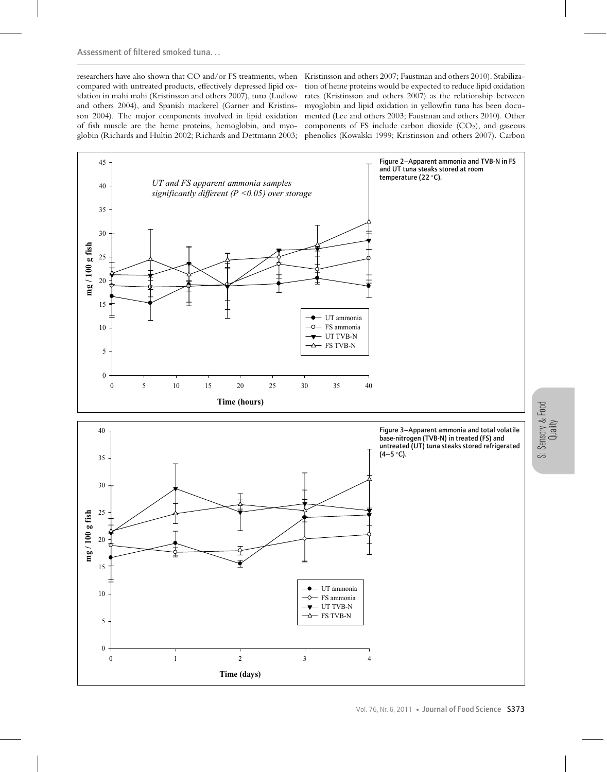compared with untreated products, effectively depressed lipid oxidation in mahi mahi (Kristinsson and others 2007), tuna (Ludlow and others 2004), and Spanish mackerel (Garner and Kristinsson 2004). The major components involved in lipid oxidation of fish muscle are the heme proteins, hemoglobin, and myo-

researchers have also shown that CO and/or FS treatments, when Kristinsson and others 2007; Faustman and others 2010). Stabilizaglobin (Richards and Hultin 2002; Richards and Dettmann 2003; phenolics (Kowalski 1999; Kristinsson and others 2007). Carbon tion of heme proteins would be expected to reduce lipid oxidation rates (Kristinsson and others 2007) as the relationship between myoglobin and lipid oxidation in yellowfin tuna has been documented (Lee and others 2003; Faustman and others 2010). Other components of FS include carbon dioxide  $(CO<sub>2</sub>)$ , and gaseous

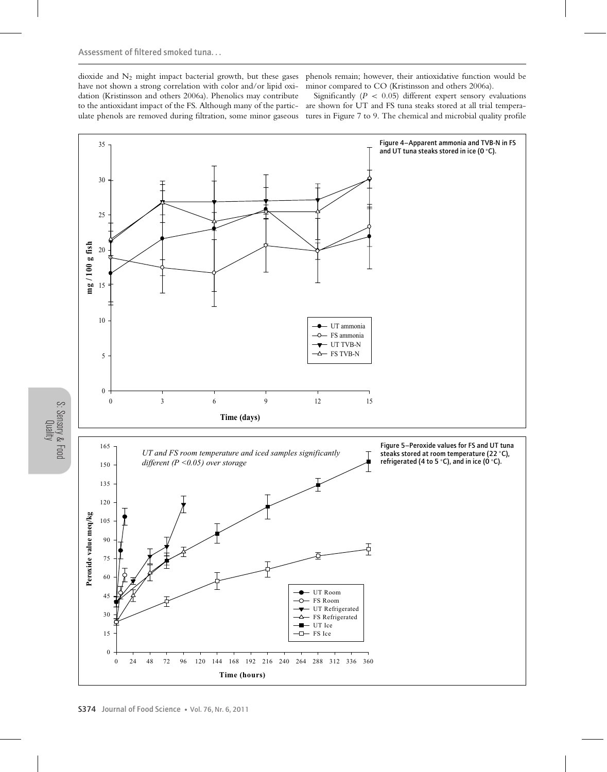dioxide and  $N_2$  might impact bacterial growth, but these gases have not shown a strong correlation with color and/or lipid oxidation (Kristinsson and others 2006a). Phenolics may contribute to the antioxidant impact of the FS. Although many of the particulate phenols are removed during filtration, some minor gaseous

phenols remain; however, their antioxidative function would be minor compared to CO (Kristinsson and others 2006a).

Significantly  $(P < 0.05)$  different expert sensory evaluations are shown for UT and FS tuna steaks stored at all trial temperatures in Figure 7 to 9. The chemical and microbial quality profile



Quality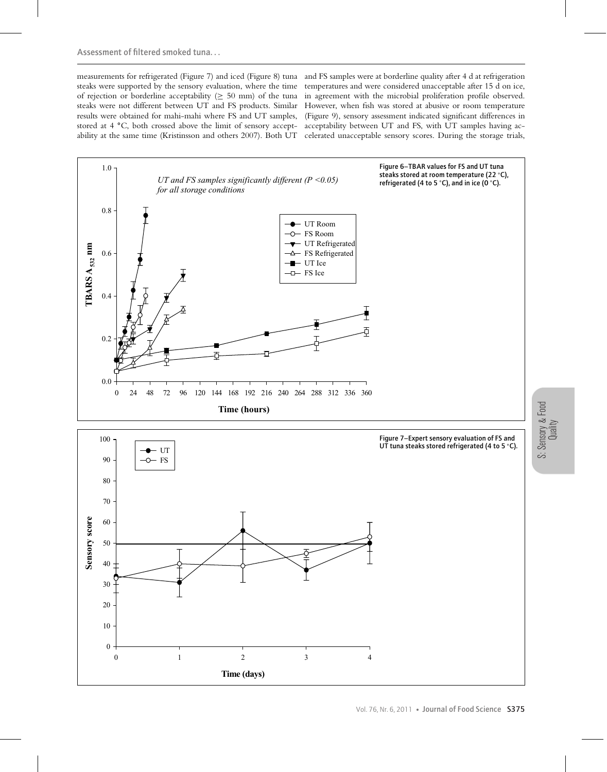measurements for refrigerated (Figure 7) and iced (Figure 8) tuna and FS samples were at borderline quality after 4 d at refrigeration steaks were supported by the sensory evaluation, where the time temperatures and were considered unacceptable after 15 d on ice, of rejection or borderline acceptability (≥ 50 mm) of the tuna in agreement with the microbial proliferation profile observed. steaks were not different between UT and FS products. Similar However, when fish was stored at abusive or room temperature results were obtained for mahi-mahi where FS and UT samples, (Figure 9), sensory assessment indicated significant differences in stored at 4 °C, both crossed above the limit of sensory accept- acceptability between UT and FS, with UT samples having acability at the same time (Kristinsson and others 2007). Both UT celerated unacceptable sensory scores. During the storage trials,

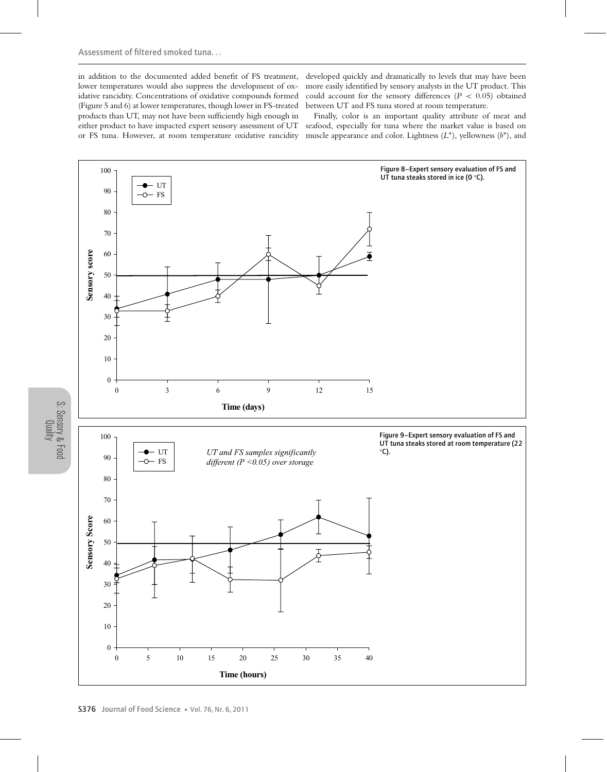in addition to the documented added benefit of FS treatment, lower temperatures would also suppress the development of oxidative rancidity. Concentrations of oxidative compounds formed (Figure 5 and 6) at lower temperatures, though lower in FS-treated products than UT, may not have been sufficiently high enough in either product to have impacted expert sensory assessment of UT or FS tuna. However, at room temperature oxidative rancidity

developed quickly and dramatically to levels that may have been more easily identified by sensory analysts in the UT product. This could account for the sensory differences ( $P < 0.05$ ) obtained between UT and FS tuna stored at room temperature.

Finally, color is an important quality attribute of meat and seafood, especially for tuna where the market value is based on muscle appearance and color. Lightness  $(L^*)$ , yellowness  $(b^*)$ , and



S: Sensory & Food Quality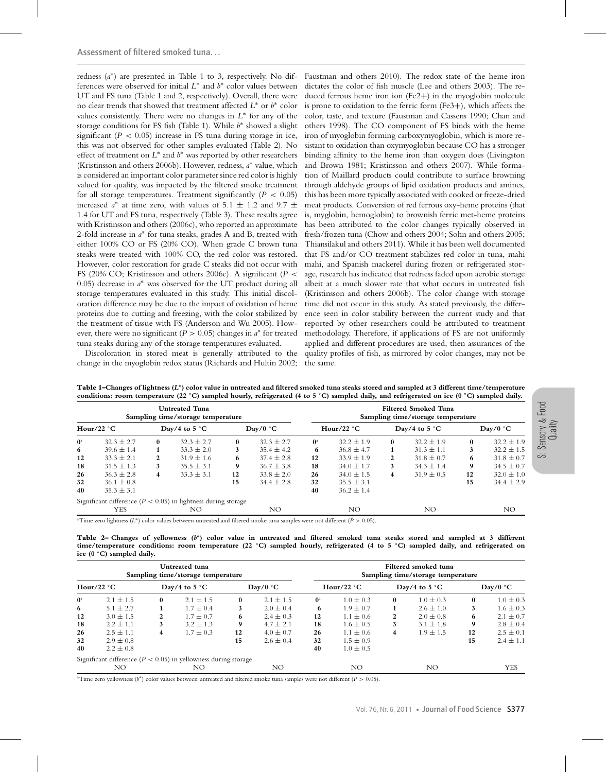redness (*a*∗) are presented in Table 1 to 3, respectively. No differences were observed for initial *L*<sup>∗</sup> and *b*<sup>∗</sup> color values between UT and FS tuna (Table 1 and 2, respectively). Overall, there were no clear trends that showed that treatment affected *L*<sup>∗</sup> or *b*<sup>∗</sup> color values consistently. There were no changes in *L*<sup>∗</sup> for any of the storage conditions for FS fish (Table 1). While *b*<sup>∗</sup> showed a slight significant  $(P < 0.05)$  increase in FS tuna during storage in ice, this was not observed for other samples evaluated (Table 2). No effect of treatment on *L*<sup>∗</sup> and *b*<sup>∗</sup> was reported by other researchers (Kristinsson and others 2006b). However, redness, *a*<sup>∗</sup> value, which is considered an important color parameter since red color is highly valued for quality, was impacted by the filtered smoke treatment for all storage temperatures. Treatment significantly  $(P < 0.05)$ increased  $a^*$  at time zero, with values of 5.1  $\pm$  1.2 and 9.7  $\pm$ 1.4 for UT and FS tuna, respectively (Table 3). These results agree with Kristinsson and others (2006c), who reported an approximate 2-fold increase in *a*<sup>∗</sup> for tuna steaks, grades A and B, treated with either 100% CO or FS (20% CO). When grade C brown tuna steaks were treated with 100% CO, the red color was restored. However, color restoration for grade C steaks did not occur with FS (20% CO; Kristinsson and others 2006c). A significant (*P* < 0.05) decrease in *a*<sup>∗</sup> was observed for the UT product during all storage temperatures evaluated in this study. This initial discoloration difference may be due to the impact of oxidation of heme proteins due to cutting and freezing, with the color stabilized by the treatment of tissue with FS (Anderson and Wu 2005). However, there were no significant ( $P > 0.05$ ) changes in  $a^*$  for treated tuna steaks during any of the storage temperatures evaluated.

Discoloration in stored meat is generally attributed to the change in the myoglobin redox status (Richards and Hultin 2002; the same.

Faustman and others 2010). The redox state of the heme iron dictates the color of fish muscle (Lee and others 2003). The reduced ferrous heme iron ion (Fe2+) in the myoglobin molecule is prone to oxidation to the ferric form (Fe3+), which affects the color, taste, and texture (Faustman and Cassens 1990; Chan and others 1998). The CO component of FS binds with the heme iron of myoglobin forming carboxymyoglobin, which is more resistant to oxidation than oxymyoglobin because CO has a stronger binding affinity to the heme iron than oxygen does (Livingston and Brown 1981; Kristinsson and others 2007). While formation of Maillard products could contribute to surface browning through aldehyde groups of lipid oxidation products and amines, this has been more typically associated with cooked or freeze-dried meat products. Conversion of red ferrous oxy-heme proteins (that is, myglobin, hemoglobin) to brownish ferric met-heme proteins has been attributed to the color changes typically observed in fresh/frozen tuna (Chow and others 2004; Sohn and others 2005; Thiansilakul and others 2011). While it has been well documented that FS and/or CO treatment stabilizes red color in tuna, mahi mahi, and Spanish mackerel during frozen or refrigerated storage, research has indicated that redness faded upon aerobic storage albeit at a much slower rate that what occurs in untreated fish (Kristinsson and others 2006b). The color change with storage time did not occur in this study. As stated previously, the difference seen in color stability between the current study and that reported by other researchers could be attributed to treatment methodology. Therefore, if applications of FS are not uniformly applied and different procedures are used, then assurances of the quality profiles of fish, as mirrored by color changes, may not be

| Table 1–Changes of lightness $(L^*)$ color value in untreated and filtered smoked tuna steaks stored and sampled at 3 different time/temperature |  |
|--------------------------------------------------------------------------------------------------------------------------------------------------|--|
| conditions: room temperature (22 °C) sampled hourly, refrigerated (4 to 5 °C) sampled daily, and refrigerated on ice (0 °C) sampled daily.       |  |

| <b>Untreated Tuna</b><br>Sampling time/storage temperature |                                                                   |                        |                |          |                |                           | <b>Filtered Smoked Tuna</b><br>Sampling time/storage temperature |                         |                |          |                |  |  |
|------------------------------------------------------------|-------------------------------------------------------------------|------------------------|----------------|----------|----------------|---------------------------|------------------------------------------------------------------|-------------------------|----------------|----------|----------------|--|--|
| Hour/22 $\degree$ C                                        |                                                                   | Day/4 to $5^{\circ}$ C |                | Day/0 °C |                | Hour/22 $\degree$ C       |                                                                  | Day/4 to 5 $^{\circ}$ C |                | Day/0 °C |                |  |  |
| $\mathbf{0}^{\mathrm{a}}$                                  | $32.3 + 2.7$                                                      | $\mathbf{0}$           | $32.3 + 2.7$   | $\bf{0}$ | $32.3 + 2.7$   | $\mathbf{0}^{\mathrm{a}}$ | $32.2 \pm 1.9$                                                   | $\bf{0}$                | $32.2 \pm 1.9$ | $\bf{0}$ | $32.2 \pm 1.9$ |  |  |
| 6                                                          | $39.6 \pm 1.4$                                                    |                        | $33.3 \pm 2.0$ | 3        | $35.4 \pm 4.2$ | 6                         | $36.8 \pm 4.7$                                                   |                         | $31.3 \pm 1.1$ | 3        | $32.2 \pm 1.5$ |  |  |
| 12                                                         | $33.3 \pm 2.1$                                                    | 2                      | $31.9 \pm 1.6$ | 6        | $37.4 \pm 2.8$ | 12                        | $33.9 \pm 1.9$                                                   | 2                       | $31.8 \pm 0.7$ | 6        | $31.8 \pm 0.7$ |  |  |
| 18                                                         | $31.5 \pm 1.3$                                                    | 3                      | $35.5 \pm 3.1$ | 9        | $36.7 \pm 3.8$ | 18                        | $34.0 \pm 1.7$                                                   | 3                       | $34.3 \pm 1.4$ | 9        | $34.5 \pm 0.7$ |  |  |
| 26                                                         | $36.3 \pm 2.8$                                                    | 4                      | $33.3 \pm 3.1$ | 12       | $33.8 \pm 2.0$ | 26                        | $34.0 \pm 1.5$                                                   | 4                       | $31.9 \pm 0.5$ | 12       | $32.0 \pm 1.0$ |  |  |
| 32                                                         | $36.1 \pm 0.8$                                                    |                        |                | 15       | $34.4 \pm 2.8$ | 32                        | $35.5 \pm 3.1$                                                   |                         |                | 15       | $34.4 \pm 2.9$ |  |  |
| 40                                                         | $35.3 \pm 3.1$                                                    |                        |                |          |                | 40                        | $36.2 \pm 1.4$                                                   |                         |                |          |                |  |  |
|                                                            | Significant difference ( $P < 0.05$ ) in lightness during storage |                        |                |          |                |                           |                                                                  |                         |                |          |                |  |  |
|                                                            | YES                                                               |                        | NΟ             |          | NO.            |                           | NO.                                                              |                         | NO.            |          | NO.            |  |  |

a Time zero lightness (*L*∗) color values between untreated and filtered smoke tuna samples were not different (*P* > 0.05).

**Table 2– Changes of yellowness (***b***∗) color value in untreated and filtered smoked tuna steaks stored and sampled at 3 different time/temperature conditions: room temperature (22 ◦ C) sampled hourly, refrigerated (4 to 5 ◦ C) sampled daily, and refrigerated on ice (0 ◦ C) sampled daily.**

| Untreated tuna<br>Sampling time/storage temperature |                                                                    |                        |               |                   |               |                           | Filtered smoked tuna<br>Sampling time/storage temperature |                        |               |                   |               |  |  |
|-----------------------------------------------------|--------------------------------------------------------------------|------------------------|---------------|-------------------|---------------|---------------------------|-----------------------------------------------------------|------------------------|---------------|-------------------|---------------|--|--|
| Hour/22 $\degree$ C                                 |                                                                    | Day/4 to $5^{\circ}$ C |               | $\text{Day}/0$ °C |               | Hour/22 $^{\circ}$ C      |                                                           | Day/4 to $5^{\circ}$ C |               | $\text{Day}/0$ °C |               |  |  |
| $\mathbf{0}^{\mathrm{a}}$                           | $2.1 \pm 1.5$                                                      | $\bf{0}$               | $2.1 \pm 1.5$ | $\bf{0}$          | $2.1 \pm 1.5$ | $\mathbf{0}^{\mathrm{a}}$ | $1.0 \pm 0.3$                                             | $\bf{0}$               | $1.0 \pm 0.3$ | $\mathbf{0}$      | $1.0 \pm 0.3$ |  |  |
| 6                                                   | $5.1 \pm 2.7$                                                      |                        | $1.7 \pm 0.4$ |                   | $2.0 \pm 0.4$ | 6                         | $1.9 \pm 0.7$                                             |                        | $2.6 \pm 1.0$ | 3                 | $1.6 \pm 0.3$ |  |  |
| 12                                                  | $3.0 \pm 1.5$                                                      | 2                      | $1.7 \pm 0.7$ | 6                 | $2.4 \pm 0.3$ | 12                        | $1.1 \pm 0.6$                                             | 2                      | $2.0 \pm 0.8$ | 6                 | $2.1 \pm 0.7$ |  |  |
| 18                                                  | $2.2 \pm 1.1$                                                      | 3                      | $3.2 \pm 1.3$ | 9                 | $4.7 \pm 2.1$ | 18                        | $1.6 \pm 0.5$                                             | 3                      | $3.1 \pm 1.8$ | 9                 | $2.8 \pm 0.4$ |  |  |
| 26                                                  | $2.5 \pm 1.1$                                                      | 4                      | $1.7 \pm 0.3$ | 12                | $4.0 \pm 0.7$ | 26                        | $1.1 \pm 0.6$                                             | 4                      | $1.9 \pm 1.5$ | 12                | $2.5 \pm 0.1$ |  |  |
| 32                                                  | $2.9 \pm 0.8$                                                      |                        |               | 15                | $2.6 \pm 0.4$ | 32                        | $1.5 \pm 0.9$                                             |                        |               | 15                | $2.4 \pm 1.1$ |  |  |
| 40                                                  | $2.2 \pm 0.8$                                                      |                        |               |                   |               | 40                        | $1.0 \pm 0.5$                                             |                        |               |                   |               |  |  |
|                                                     | Significant difference ( $P < 0.05$ ) in yellowness during storage |                        |               |                   |               |                           |                                                           |                        |               |                   |               |  |  |
|                                                     | NO                                                                 |                        | NΟ            |                   | NO            |                           | NO.                                                       |                        | NO            |                   | YES           |  |  |

a Time zero yellowness (*b*∗) color values between untreated and filtered smoke tuna samples were not different (*P* > 0.05).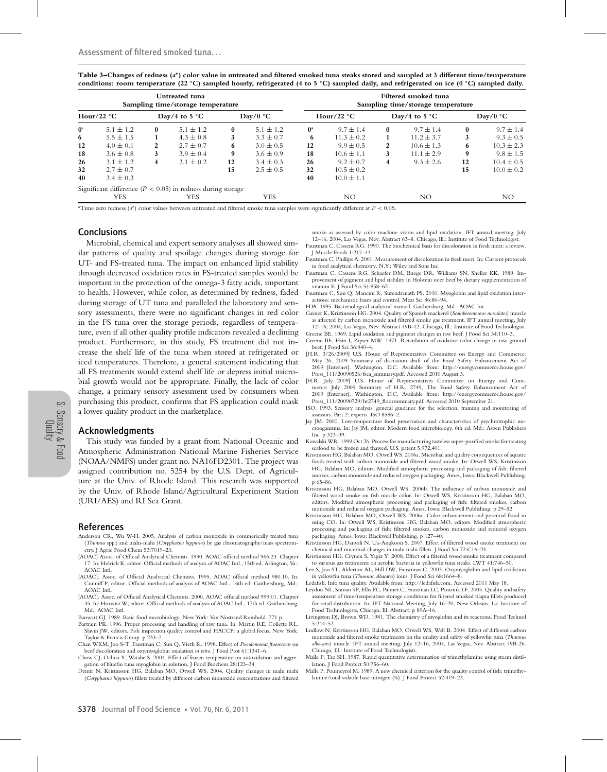**Table 3–Changes of redness (***a***∗) color value in untreated and filtered smoked tuna steaks stored and sampled at 3 different time/temperature conditions: room temperature (22 ◦ C) sampled hourly, refrigerated (4 to 5 ◦ C) sampled daily, and refrigerated on ice (0 ◦ C) sampled daily.**

| Untreated tuna<br>Sampling time/storage temperature |                                                                 |                        |               |                   |               |                      | Filtered smoked tuna<br>Sampling time/storage temperature |                        |                |                   |                |  |  |
|-----------------------------------------------------|-----------------------------------------------------------------|------------------------|---------------|-------------------|---------------|----------------------|-----------------------------------------------------------|------------------------|----------------|-------------------|----------------|--|--|
| Hour/22 $^{\circ}$ C                                |                                                                 | Day/4 to $5^{\circ}$ C |               | $\text{Day}/0$ °C |               | Hour/22 $^{\circ}$ C |                                                           | Day/4 to $5^{\circ}$ C |                | $\text{Day}/0$ °C |                |  |  |
| $\mathbf{0}^{\mathrm{a}}$                           | $5.1 \pm 1.2$                                                   | 0                      | $5.1 \pm 1.2$ | $\bf{0}$          | $5.1 \pm 1.2$ | $0^{\rm a}$          | $9.7 \pm 1.4$                                             | $\mathbf{0}$           | $9.7 \pm 1.4$  | 0                 | $9.7 \pm 1.4$  |  |  |
| 6                                                   | $5.5 \pm 1.5$                                                   |                        | $4.3 \pm 0.8$ | 3                 | $3.3 \pm 0.7$ | 6                    | $11.3 \pm 0.2$                                            |                        | $11.2 \pm 3.7$ |                   | $9.3 \pm 0.5$  |  |  |
| 12                                                  | $4.0 \pm 0.1$                                                   | 2                      | $2.7 \pm 0.7$ | 6                 | $3.0 \pm 0.5$ | 12                   | $9.9 \pm 0.5$                                             | 2                      | $10.6 \pm 1.3$ | 6                 | $10.3 \pm 2.3$ |  |  |
| 18                                                  | $3.6 \pm 0.8$                                                   | 3                      | $3.9 \pm 0.4$ | 9                 | $3.6 \pm 0.9$ | 18                   | $10.6 \pm 1.1$                                            | 3                      | $11.1 \pm 2.9$ | 9                 | $9.8 \pm 1.5$  |  |  |
| 26                                                  | $3.1 \pm 1.2$                                                   | 4                      | $3.1 \pm 0.2$ | 12                | $3.4 \pm 0.3$ | 26                   | $9.2 \pm 0.7$                                             | 4                      | $9.3 + 2.6$    | 12                | $10.4 \pm 0.5$ |  |  |
| 32                                                  | $2.7 \pm 0.7$                                                   |                        |               | 15                | $2.5 \pm 0.5$ | 32                   | $10.5 \pm 0.2$                                            |                        |                | 15                | $10.0 \pm 0.2$ |  |  |
| 40                                                  | $3.4 \pm 0.3$                                                   |                        |               |                   |               | 40                   | $10.0 \pm 1.1$                                            |                        |                |                   |                |  |  |
|                                                     | Significant difference ( $P < 0.05$ ) in redness during storage |                        |               |                   |               |                      |                                                           |                        |                |                   |                |  |  |
|                                                     | <b>YES</b>                                                      |                        | YES           |                   | YES           |                      | NO.                                                       |                        | NO             |                   | NO.            |  |  |

a Time zero redness (*a*∗) color values between untreated and filtered smoke tuna samples were significantly different at *P* < 0.05.

#### Conclusions

Microbial, chemical and expert sensory analyses all showed similar patterns of quality and spoilage changes during storage for UT- and FS-treated tuna. The impact on enhanced lipid stability through decreased oxidation rates in FS-treated samples would be important in the protection of the omega-3 fatty acids, important to health. However, while color, as determined by redness, faded during storage of UT tuna and paralleled the laboratory and sensory assessments, there were no significant changes in red color in the FS tuna over the storage periods, regardless of temperature, even if all other quality profile indicators revealed a declining product. Furthermore, in this study, FS treatment did not increase the shelf life of the tuna when stored at refrigerated or iced temperatures. Therefore, a general statement indicating that all FS treatments would extend shelf life or depress initial microbial growth would not be appropriate. Finally, the lack of color change, a primary sensory assessment used by consumers when purchasing this product, confirms that FS application could mask a lower quality product in the marketplace.

#### Acknowledgments

This study was funded by a grant from National Oceanic and Atmospheric Administration National Marine Fisheries Service (NOAA/NMFS) under grant no. NA16FD2301. The project was assigned contribution no. 5254 by the U.S. Dept. of Agriculture at the Univ. of Rhode Island. This research was supported by the Univ. of Rhode Island/Agricultural Experiment Station (URI/AES) and RI Sea Grant.

#### References

- Anderson CR, Wu W-H. 2005. Analysis of carbon monoxide in commerically treated tuna (*Thunnus* spp.) and mahi-mahi (*Coryphaena hippurus*) by gas chromatography/mass spectrometry. J Agric Food Chem 53:7019–23.
- [AOAC] Assoc. of Official Analytical Chemists. 1990. AOAC official method 966.23. Chapter 17. In: Helrich K, editor. Official methods of analysis of AOAC Intl., 15th ed. Arlington, Va.: AOAC Intl.
- [AOAC]. Assoc. of Official Analytical Chemists. 1995. AOAC official method 980.10. In: Cunniff P, editor. Official methods of analysis of AOAC Intl., 16th ed. Gaithersburg, Md.: AOAC Intl.
- [AOAC]. Assoc. of Official Analytical Chemists. 2000. AOAC official method 999.01. Chapter 35. In: Horwitz W, editor. Official methods of analysis of AOAC Intl., 17th ed. Gaithersburg, Md.: AOAC Intl.
- Banwart GJ. 1989. Basic food microbiology. New York: Van Nostrand Reinhold. 771 p.
- Bartram PK. 1996. Proper processing and handling of raw tuna. In: Martin RE, Collette RL, Slavin JW, editors. Fish inspection quality control and HACCP: a global focus. New York: Taylor & Francis Group. p 233–7.
- Chan WKM, Joo S-T, Faustman C, Sun Q, Vieth R. 1998. Effect of *Pseudomonas fluorescens* on beef discoloration and oxymyoglobin oxidation *in vitro*. J Food Prot 61:1341–6.
- Chow CJ, Ochiai Y, Watabe S. 2004. Effect of frozen temperature on autoxidation and aggregation of bluefin tuna myoglobin in solution, J Food Biochem 28:123–34.
- Demir N, Kristinsson HG, Balaban MO, Otwell WS. 2004. Quality changes in mahi mahi (*Coryphaena hippurus*) fillets treated by different carbon monoxide concentrations and filtered

smoke as assessed by color machine vision and lipid oxidation. IFT annual meeting, July 12–16, 2004, Las Vegas, Nev. Abstract 63–8. Chicago, Ill.: Institute of Food Technologist. Faustman C, Cassens RG. 1990. The biochemical basis for discoloration in fresh meat: a review.

- J Muscle Foods 1:217–43.
- Faustman C, Phillips A. 2001. Measurement of discoloration in fresh meat. In: Current protocols in food analytical chemistry. N.Y.: Wiley and Sons Inc.
- Faustman C, Cassens RG, Schaefer DM, Buege DR, Williams SN, Sheller KK. 1989. Improvement of pigment and lipid stability in Holstein steer beef by dietary supplementation of vitamin E. J Food Sci 54:858–62.
- Faustman C, Sun Q, Mancini R, Surendranath PS. 2010. Myoglobin and lipid oxidation interactions: mechanistic bases and control. Meat Sci 86:86–94.
- FDA. 1995. Bacteriological analytical manual. Gaithersburg, Md.: AOAC Int.
- Garner K, Kristinsson HG. 2004. Quality of Spanish mackerel (*Scomberomorous maculates*) muscle as affected by carbon monoxide and filtered smoke gas treatment. IFT annual meeting, July 12–16, 2004, Las Vegas, Nev. Abstract 49B-12. Chicago, Ill.: Institute of Food Technologist. Greene BE. 1969. Lipid oxidation and pigment changes in raw beef. J Food Sci 34:110–3.
- Greene BE, Hsin I, Zipser MW. 1971. Retardation of oxidative color change in raw ground beef. J Food Sci 36:940–4.
- [H.R. 3/26/2009] U.S. House of Representatives Committee on Energy and Commerce: May 26, 2009 Summary of discussion draft of the Food Safety Enhancement Act of 2009 [Internet]. Washington, D.C. Available from: http://energycommerce.house.gov/ Press\_111/20090526/fsea\_summary.pdf. Accessed 2010 August 3.
- [H.R. July 2009] U.S. House of Representatives Committee on Energy and Commerce: July 2009 Summary of H.R. 2749, The Food Safety Enhancement Act of 2009 [Internet]. Washington, D.C. Available from: http://energycommerce.house.gov/ Press\_111/20090729/hr2749\_floorsummary.pdf. Accessed 2010 September 21.
- ISO. 1993. Sensory analysis: general guidance for the selection, training and monitoring of assessors. Part 2: experts. ISO 8586–2.
- Jay JM. 2000. Low-temperature food preservation and characteristics of psychrotrophic microoganisms. In: Jay JM, editor. Modern food microbiology. 6th ed. Md.: Aspen Publishers Inc. p 323–39.
- Kowalski WR. 1999 Oct 26. Process for manufacturing tasteless super-purified smoke for treating seafood to be frozen and thawed. U.S. patent 5,972,401.
- Kristinsson HG, Balaban MO, Otwell WS. 2006a. Microbial and quality consequences of aquatic foods treated with carbon monoxide and filtered wood smoke. In: Otwell WS, Kristinsson HG, Balaban MO, editors. Modified atmospheric processing and packaging of fish: filtered smokes, carbon monoxide and reduced oxygen packaging. Ames, Iowa: Blackwell Publishing. p 65–86.
- Kristinsson HG, Balaban MO, Otwell WS. 2006b. The influence of carbon monoxide and filtered wood smoke on fish muscle color. In: Otwell WS, Kristinsson HG, Balaban MO, editors. Modified atmospheric processing and packaging of fish: filtered smokes, carbon monoxide and reduced oxygen packaging. Ames, Iowa: Blackwell Publishing. p 29–52.
- Kristinsson HG, Balaban MO, Otwell WS. 2006c. Color enhancement and potential fraud in using CO. In: Otwell WS, Kristinsson HG, Balaban MO, editors. Modified atmospheric processing and packaging of fish: filtered smokes, carbon monoxide and reduced oxygen
- packaging. Ames, Iowa: Blackwell Publishing. p 127–40. Kristinsson HG, Danyali N, Ua-Angkoon S. 2007. Effect of filtered wood smoke treatment on chemical and microbial changes in mahi mahi fillets. J Food Sci 72:C16–24.
- Kristinsson HG, Crynen S, Yagiz Y. 2008. Effect of a filtered wood smoke treatment compared to various gas treatments on aerobic bacteria in yellowfin tuna steaks. LWT 41:746–50.
- Lee S, Joo ST, Alderton AL, Hill DW, Faustman C. 2003. Oxymyoglobin and lipid oxidation in yellowfin tuna (*Thunnus albacares*) loins. J Food Sci 68:1664–8.
- Ledafish. Info tuna quality. Available from: http://ledafish.com. Accessed 2011 May 18.
- Leydon NL, Suman SP, Ellis PC, Palmer C, Faustman LC, Pivarnik LF. 2005. Quality and safety assessment of time/temperature storage conditions for filtered smoked tilapia fillets produced for retail distribution. In: IFT National Meeting, July 16–20, New Orleans, La: Institute of
- Food Technologists, Chicago, Ill. Abstract. p 89A–16. Livingston DJ, Brown WD. 1981. The chemistry of myoglobin and its reactions. Food Technol 5:244–52.
- Ludlow N, Kristinsson HG, Balaban MO, Otwell WS, Welt B. 2004. Effect of different carbon monoxide and filtered smoke treatments on the quality and safety of yellowfin tuna (*Thunn albacares*) muscle. IFT annual meeting, July 12–16, 2004, Las Vegas, Nev. Abstract 49B-26. Chicago, Ill.: Institute of Food Technologists.
- Malle P, Tao SH. 1987. Rapid quantitative determination of trimethylamine using steam distillation. J Food Protect 50:756–60.
- Malle P, Poumeyrol M. 1989. A new chemical criterion for the quality control of fish: trimethylamine/total volatile base nitrogen (%). J Food Protect 52:419–23.